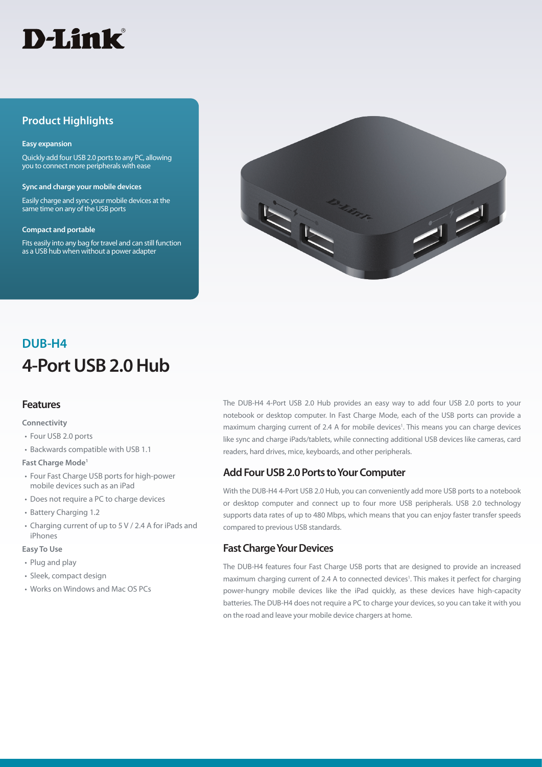

# **Product Highlights**

#### **Easy expansion**

Quickly add four USB 2.0 ports to any PC, allowing you to connect more peripherals with ease

#### **Sync and charge your mobile devices**

Easily charge and sync your mobile devices at the same time on any of the USB ports

#### **Compact and portable**

Fits easily into any bag for travel and can still function as a USB hub when without a power adapter



# **4-Port USB 2.0 Hub DUB-H4**

#### **Features**

#### **Connectivity**

- Four USB 2.0 ports
- Backwards compatible with USB 1.1

#### **Fast Charge Mode1**

- Four Fast Charge USB ports for high-power mobile devices such as an iPad
- Does not require a PC to charge devices
- Battery Charging 1.2
- Charging current of up to 5 V / 2.4 A for iPads and iPhones

#### **Easy To Use**

- Plug and play
- Sleek, compact design
- Works on Windows and Mac OS PCs

The DUB-H4 4-Port USB 2.0 Hub provides an easy way to add four USB 2.0 ports to your notebook or desktop computer. In Fast Charge Mode, each of the USB ports can provide a maximum charging current of 2.4 A for mobile devices<sup>1</sup>. This means you can charge devices like sync and charge iPads/tablets, while connecting additional USB devices like cameras, card readers, hard drives, mice, keyboards, and other peripherals.

### **Add Four USB 2.0 Ports to Your Computer**

With the DUB-H4 4-Port USB 2.0 Hub, you can conveniently add more USB ports to a notebook or desktop computer and connect up to four more USB peripherals. USB 2.0 technology supports data rates of up to 480 Mbps, which means that you can enjoy faster transfer speeds compared to previous USB standards.

## **Fast Charge Your Devices**

The DUB-H4 features four Fast Charge USB ports that are designed to provide an increased maximum charging current of 2.4 A to connected devices<sup>1</sup>. This makes it perfect for charging power-hungry mobile devices like the iPad quickly, as these devices have high-capacity batteries. The DUB-H4 does not require a PC to charge your devices, so you can take it with you on the road and leave your mobile device chargers at home.